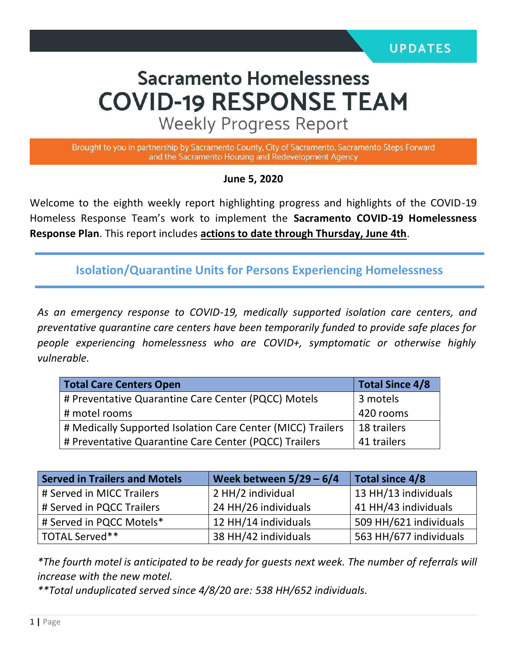# **Sacramento Homelessness COVID-19 RESPONSE TEAM**

**Weekly Progress Report** 

Brought to you in partnership by Sacramento County, City of Sacramento, Sacramento Steps Forward and the Sacramento Housing and Redevelopment Agency

**June 5, 2020**

Welcome to the eighth weekly report highlighting progress and highlights of the COVID-19 Homeless Response Team's work to implement the **Sacramento COVID-19 Homelessness Response Plan**. This report includes **actions to date through Thursday, June 4th**.

**Isolation/Quarantine Units for Persons Experiencing Homelessness**

*As an emergency response to COVID-19, medically supported isolation care centers, and preventative quarantine care centers have been temporarily funded to provide safe places for people experiencing homelessness who are COVID+, symptomatic or otherwise highly vulnerable.*

| <b>Total Care Centers Open</b>                              | <b>Total Since 4/8</b> |  |
|-------------------------------------------------------------|------------------------|--|
| # Preventative Quarantine Care Center (PQCC) Motels         | 3 motels               |  |
| # motel rooms                                               | 420 rooms              |  |
| # Medically Supported Isolation Care Center (MICC) Trailers | 18 trailers            |  |
| # Preventative Quarantine Care Center (PQCC) Trailers       | 41 trailers            |  |

| <b>Served in Trailers and Motels</b> | Week between $5/29 - 6/4$ | Total since 4/8        |  |
|--------------------------------------|---------------------------|------------------------|--|
| # Served in MICC Trailers            | 2 HH/2 individual         | 13 HH/13 individuals   |  |
| # Served in PQCC Trailers            | 24 HH/26 individuals      | 41 HH/43 individuals   |  |
| # Served in PQCC Motels*             | 12 HH/14 individuals      | 509 HH/621 individuals |  |
| TOTAL Served**                       | 38 HH/42 individuals      | 563 HH/677 individuals |  |

*\*The fourth motel is anticipated to be ready for guests next week. The number of referrals will increase with the new motel.*

*\*\*Total unduplicated served since 4/8/20 are: 538 HH/652 individuals.*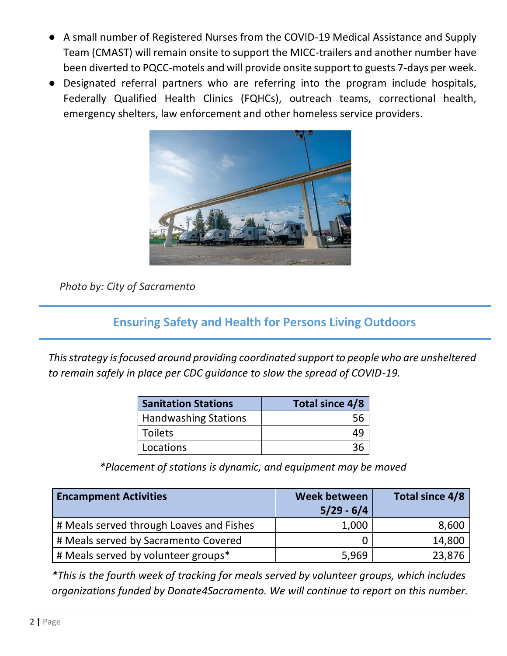- A small number of Registered Nurses from the COVID-19 Medical Assistance and Supply Team (CMAST) will remain onsite to support the MICC-trailers and another number have been diverted to PQCC-motels and will provide onsite support to guests 7-days per week.
- Designated referral partners who are referring into the program include hospitals, Federally Qualified Health Clinics (FQHCs), outreach teams, correctional health, emergency shelters, law enforcement and other homeless service providers.



*Photo by: City of Sacramento*

#### **Ensuring Safety and Health for Persons Living Outdoors**

*This strategy is focused around providing coordinated support to people who are unsheltered to remain safely in place per CDC guidance to slow the spread of COVID-19.*

| <b>Sanitation Stations</b>  | Total since 4/8 |  |  |
|-----------------------------|-----------------|--|--|
| <b>Handwashing Stations</b> |                 |  |  |
| Toilets                     |                 |  |  |
| Locations                   |                 |  |  |

*\*Placement of stations is dynamic, and equipment may be moved*

| <b>Encampment Activities</b>             | Week between<br>$5/29 - 6/4$ | Total since 4/8 |
|------------------------------------------|------------------------------|-----------------|
| # Meals served through Loaves and Fishes | 1,000                        | 8,600           |
| # Meals served by Sacramento Covered     |                              | 14,800          |
| # Meals served by volunteer groups*      | 5,969                        | 23,876          |

*\*This is the fourth week of tracking for meals served by volunteer groups, which includes organizations funded by Donate4Sacramento. We will continue to report on this number.*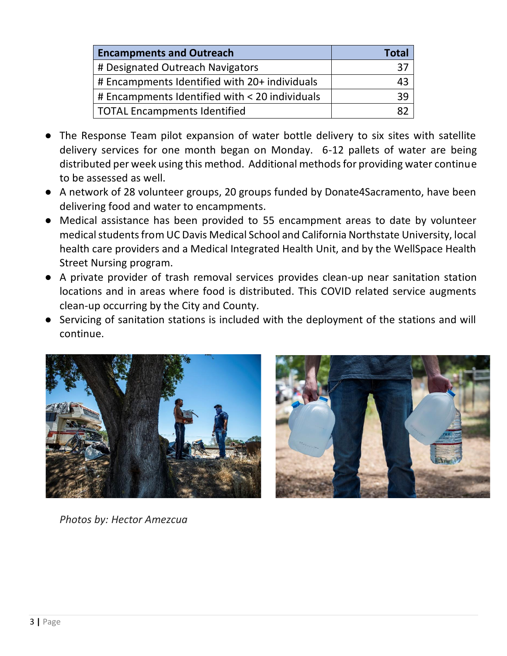| <b>Encampments and Outreach</b>                | Total |
|------------------------------------------------|-------|
| # Designated Outreach Navigators               | 37    |
| # Encampments Identified with 20+ individuals  | 43    |
| # Encampments Identified with < 20 individuals | 39    |
| <b>TOTAL Encampments Identified</b>            | 87    |

- The Response Team pilot expansion of water bottle delivery to six sites with satellite delivery services for one month began on Monday. 6-12 pallets of water are being distributed per week using this method. Additional methods for providing water continue to be assessed as well.
- A network of 28 volunteer groups, 20 groups funded by Donate4Sacramento, have been delivering food and water to encampments.
- Medical assistance has been provided to 55 encampment areas to date by volunteer medical students from UC Davis Medical School and California Northstate University, local health care providers and a Medical Integrated Health Unit, and by the WellSpace Health Street Nursing program.
- A private provider of trash removal services provides clean-up near sanitation station locations and in areas where food is distributed. This COVID related service augments clean-up occurring by the City and County.
- Servicing of sanitation stations is included with the deployment of the stations and will continue.





*Photos by: Hector Amezcua*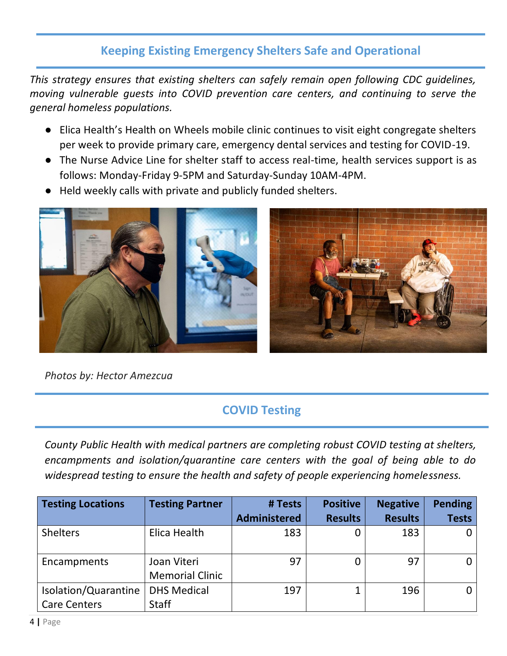## **Keeping Existing Emergency Shelters Safe and Operational**

*This strategy ensures that existing shelters can safely remain open following CDC guidelines, moving vulnerable guests into COVID prevention care centers, and continuing to serve the general homeless populations.* 

- Elica Health's Health on Wheels mobile clinic continues to visit eight congregate shelters per week to provide primary care, emergency dental services and testing for COVID-19.
- The Nurse Advice Line for shelter staff to access real-time, health services support is as follows: Monday-Friday 9-5PM and Saturday-Sunday 10AM-4PM.
- Held weekly calls with private and publicly funded shelters.



*Photos by: Hector Amezcua*

## **COVID Testing**

*County Public Health with medical partners are completing robust COVID testing at shelters, encampments and isolation/quarantine care centers with the goal of being able to do widespread testing to ensure the health and safety of people experiencing homelessness.* 

| <b>Testing Locations</b> | <b>Testing Partner</b> | # Tests             | <b>Positive</b> | <b>Negative</b> | <b>Pending</b> |
|--------------------------|------------------------|---------------------|-----------------|-----------------|----------------|
|                          |                        | <b>Administered</b> | <b>Results</b>  | <b>Results</b>  | <b>Tests</b>   |
| <b>Shelters</b>          | Elica Health           | 183                 | 0               | 183             | 0 <sup>1</sup> |
| Encampments              | Joan Viteri            | 97                  | 0               | 97              | $\overline{0}$ |
|                          | <b>Memorial Clinic</b> |                     |                 |                 |                |
| Isolation/Quarantine     | <b>DHS Medical</b>     | 197                 |                 | 196             | 0 <sub>1</sub> |
| <b>Care Centers</b>      | <b>Staff</b>           |                     |                 |                 |                |